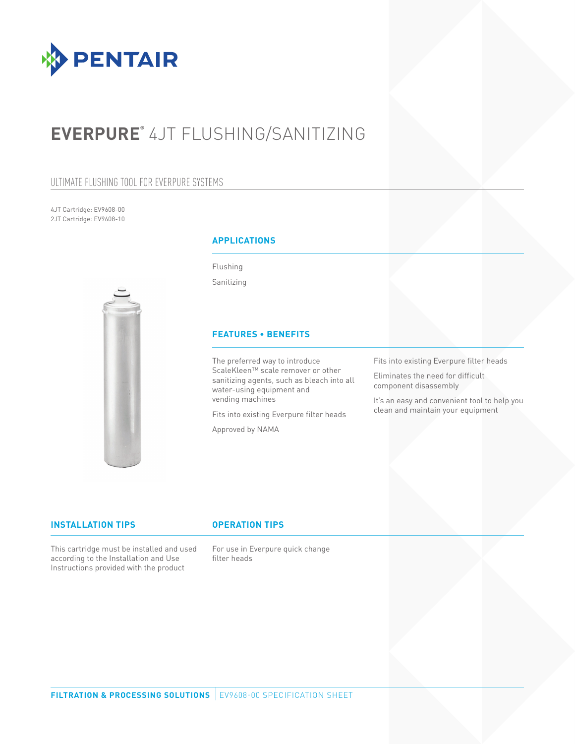

# **EVERPURE®** 4JT FLUSHING/SANITIZING

### ULTIMATE FLUSHING TOOL FOR EVERPURE SYSTEMS

4JT Cartridge: EV9608-00 2JT Cartridge: EV9608-10



### **APPLICATIONS**

Flushing

Sanitizing

### **FEATURES • BENEFITS**

The preferred way to introduce ScaleKleen™ scale remover or other sanitizing agents, such as bleach into all water-using equipment and vending machines

Fits into existing Everpure filter heads

Approved by NAMA

Fits into existing Everpure filter heads

Eliminates the need for difficult component disassembly

It's an easy and convenient tool to help you clean and maintain your equipment

#### **INSTALLATION TIPS OPERATION TIPS**

This cartridge must be installed and used according to the Installation and Use Instructions provided with the product

For use in Everpure quick change filter heads